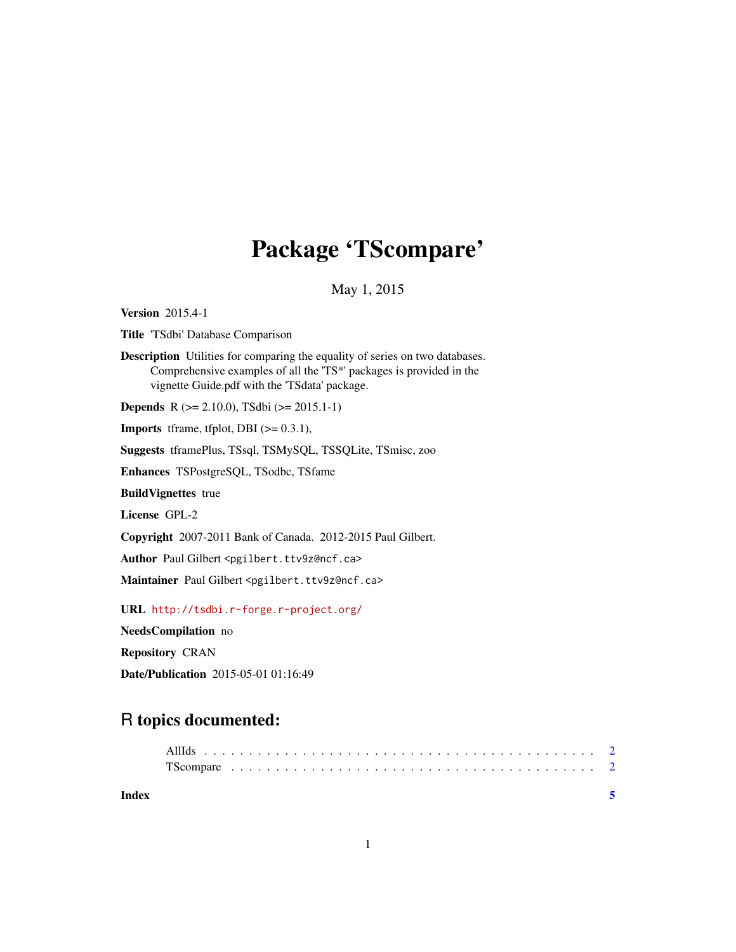## Package 'TScompare'

May 1, 2015

<span id="page-0-0"></span>Version 2015.4-1

Title 'TSdbi' Database Comparison

Description Utilities for comparing the equality of series on two databases. Comprehensive examples of all the 'TS\*' packages is provided in the vignette Guide.pdf with the 'TSdata' package.

Depends R (>= 2.10.0), TSdbi (>= 2015.1-1)

**Imports** tframe, tfplot, DBI  $(>= 0.3.1)$ ,

Suggests tframePlus, TSsql, TSMySQL, TSSQLite, TSmisc, zoo

Enhances TSPostgreSQL, TSodbc, TSfame

BuildVignettes true

License GPL-2

Copyright 2007-2011 Bank of Canada. 2012-2015 Paul Gilbert.

Author Paul Gilbert <pgilbert.ttv9z@ncf.ca>

Maintainer Paul Gilbert <pgilbert.ttv9z@ncf.ca>

URL <http://tsdbi.r-forge.r-project.org/>

NeedsCompilation no

Repository CRAN

Date/Publication 2015-05-01 01:16:49

### R topics documented:

| Index |  |  |  |  |  |  |  |  |  |  |  |  |  |  |  |  |  |  |
|-------|--|--|--|--|--|--|--|--|--|--|--|--|--|--|--|--|--|--|
|       |  |  |  |  |  |  |  |  |  |  |  |  |  |  |  |  |  |  |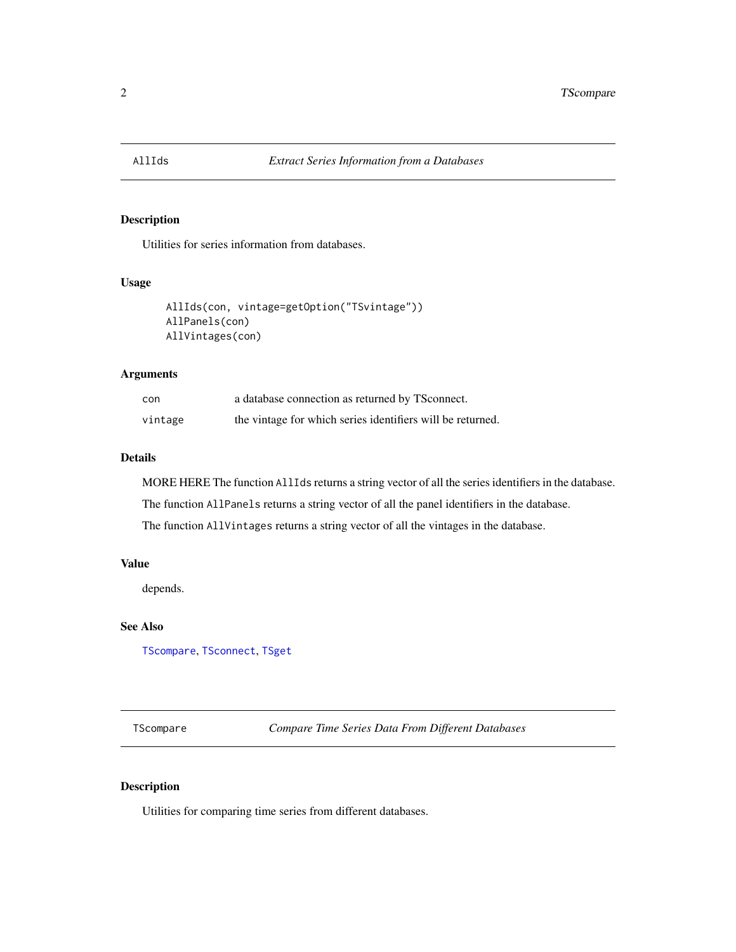<span id="page-1-2"></span><span id="page-1-0"></span>

#### Description

Utilities for series information from databases.

#### Usage

```
AllIds(con, vintage=getOption("TSvintage"))
AllPanels(con)
AllVintages(con)
```
#### Arguments

| con     | a database connection as returned by TS connect.           |
|---------|------------------------------------------------------------|
| vintage | the vintage for which series identifiers will be returned. |

#### Details

MORE HERE The function AllIds returns a string vector of all the series identifiers in the database.

The function AllPanels returns a string vector of all the panel identifiers in the database.

The function AllVintages returns a string vector of all the vintages in the database.

#### Value

depends.

#### See Also

[TScompare](#page-1-1), [TSconnect](#page-0-0), [TSget](#page-0-0)

<span id="page-1-1"></span>TScompare *Compare Time Series Data From Different Databases*

#### Description

Utilities for comparing time series from different databases.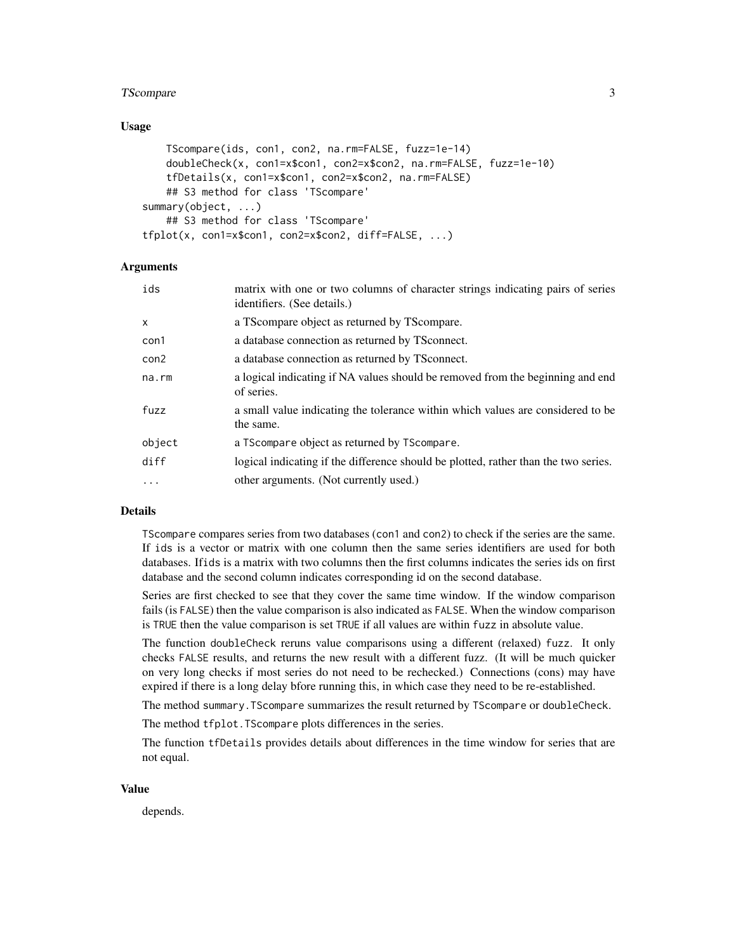#### TScompare 3

#### Usage

```
TScompare(ids, con1, con2, na.rm=FALSE, fuzz=1e-14)
   doubleCheck(x, con1=x$con1, con2=x$con2, na.rm=FALSE, fuzz=1e-10)
    tfDetails(x, con1=x$con1, con2=x$con2, na.rm=FALSE)
   ## S3 method for class 'TScompare'
summary(object, ...)
   ## S3 method for class 'TScompare'
tfplot(x, con1=x$con1, con2=x$con2, diff=FALSE, ...)
```
#### Arguments

| ids              | matrix with one or two columns of character strings indicating pairs of series<br>identifiers. (See details.) |
|------------------|---------------------------------------------------------------------------------------------------------------|
| X                | a TS compare object as returned by TS compare.                                                                |
| con1             | a database connection as returned by TSconnect.                                                               |
| con <sub>2</sub> | a database connection as returned by TS connect.                                                              |
| na.rm            | a logical indicating if NA values should be removed from the beginning and end<br>of series.                  |
| fuzz             | a small value indicating the tolerance within which values are considered to be<br>the same.                  |
| object           | a TScompare object as returned by TScompare.                                                                  |
| diff             | logical indicating if the difference should be plotted, rather than the two series.                           |
| $\ddots$         | other arguments. (Not currently used.)                                                                        |
|                  |                                                                                                               |

#### Details

TScompare compares series from two databases (con1 and con2) to check if the series are the same. If ids is a vector or matrix with one column then the same series identifiers are used for both databases. Ifids is a matrix with two columns then the first columns indicates the series ids on first database and the second column indicates corresponding id on the second database.

Series are first checked to see that they cover the same time window. If the window comparison fails (is FALSE) then the value comparison is also indicated as FALSE. When the window comparison is TRUE then the value comparison is set TRUE if all values are within fuzz in absolute value.

The function doubleCheck reruns value comparisons using a different (relaxed) fuzz. It only checks FALSE results, and returns the new result with a different fuzz. (It will be much quicker on very long checks if most series do not need to be rechecked.) Connections (cons) may have expired if there is a long delay bfore running this, in which case they need to be re-established.

The method summary.TScompare summarizes the result returned by TScompare or doubleCheck.

The method tfplot.TScompare plots differences in the series.

The function tfDetails provides details about differences in the time window for series that are not equal.

#### Value

depends.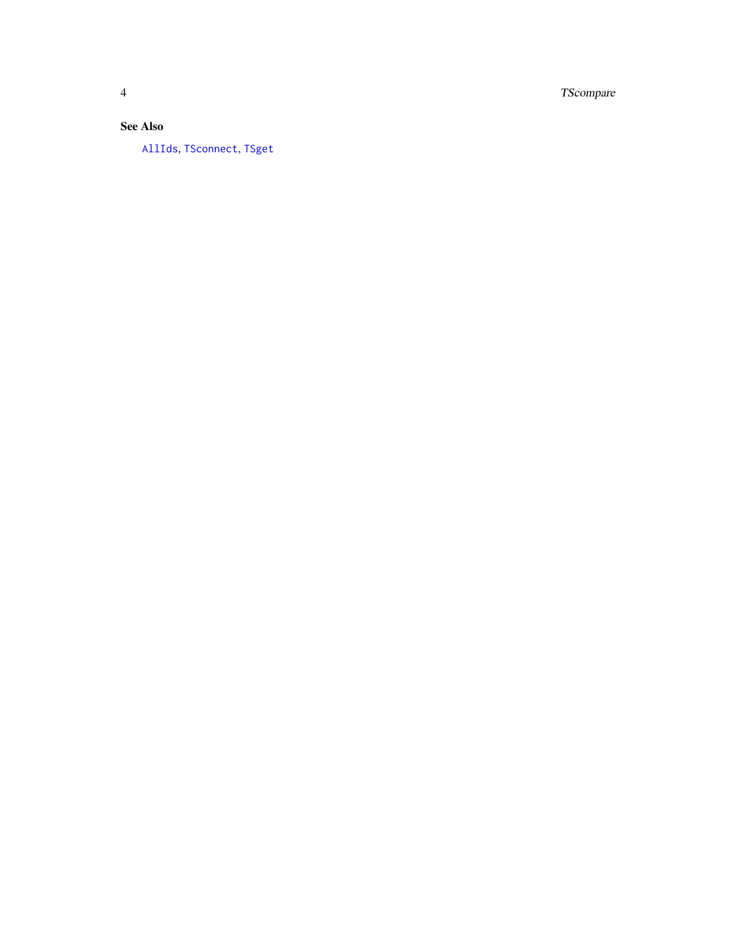TScompare

#### **See Also**

AllIds, TSconnect, TSget

<span id="page-3-0"></span> $\overline{4}$